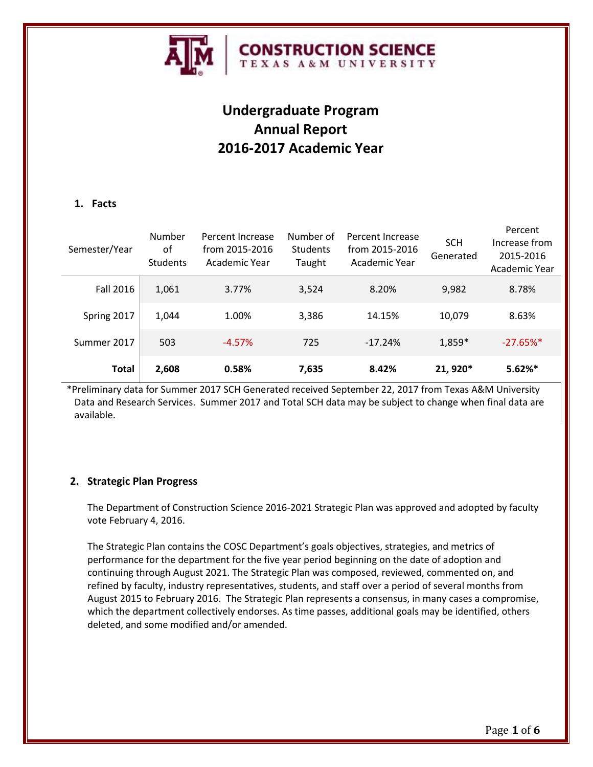

# **Undergraduate Program Annual Report 2016-2017 Academic Year**

# **1. Facts**

| Semester/Year    | Number<br>of<br><b>Students</b> | Percent Increase<br>from 2015-2016<br>Academic Year | Number of<br><b>Students</b><br>Taught | Percent Increase<br>from 2015-2016<br>Academic Year | <b>SCH</b><br>Generated | Percent<br>Increase from<br>2015-2016<br>Academic Year |
|------------------|---------------------------------|-----------------------------------------------------|----------------------------------------|-----------------------------------------------------|-------------------------|--------------------------------------------------------|
| <b>Fall 2016</b> | 1,061                           | 3.77%                                               | 3,524                                  | 8.20%                                               | 9,982                   | 8.78%                                                  |
| Spring 2017      | 1,044                           | 1.00%                                               | 3,386                                  | 14.15%                                              | 10,079                  | 8.63%                                                  |
| Summer 2017      | 503                             | $-4.57%$                                            | 725                                    | $-17.24%$                                           | 1,859*                  | $-27.65%$ *                                            |
| <b>Total</b>     | 2,608                           | 0.58%                                               | 7,635                                  | 8.42%                                               | 21, 920*                | $5.62%$ *                                              |

\*Preliminary data for Summer 2017 SCH Generated received September 22, 2017 from Texas A&M University Data and Research Services. Summer 2017 and Total SCH data may be subject to change when final data are available.

# **2. Strategic Plan Progress**

The Department of Construction Science 2016-2021 Strategic Plan was approved and adopted by faculty vote February 4, 2016.

The Strategic Plan contains the COSC Department's goals objectives, strategies, and metrics of performance for the department for the five year period beginning on the date of adoption and continuing through August 2021. The Strategic Plan was composed, reviewed, commented on, and refined by faculty, industry representatives, students, and staff over a period of several months from August 2015 to February 2016. The Strategic Plan represents a consensus, in many cases a compromise, which the department collectively endorses. As time passes, additional goals may be identified, others deleted, and some modified and/or amended.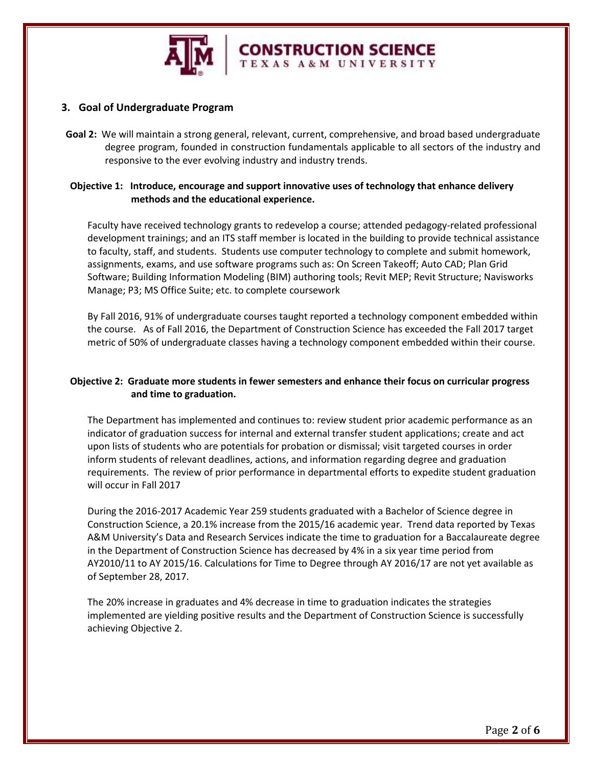

# **3. Goal of Undergraduate Program**

**Goal 2:** We will maintain a strong general, relevant, current, comprehensive, and broad based undergraduate degree program, founded in construction fundamentals applicable to all sectors of the industry and responsive to the ever evolving industry and industry trends.

**CONSTRUCTION SCIENCE** 

#### **Objective 1: Introduce, encourage and support innovative uses of technology that enhance delivery methods and the educational experience.**

Faculty have received technology grants to redevelop a course; attended pedagogy-related professional development trainings; and an ITS staff member is located in the building to provide technical assistance to faculty, staff, and students. Students use computer technology to complete and submit homework, assignments, exams, and use software programs such as: On Screen Takeoff; Auto CAD; Plan Grid Software; Building Information Modeling (BIM) authoring tools; Revit MEP; Revit Structure; Navisworks Manage; P3; MS Office Suite; etc. to complete coursework

By Fall 2016, 91% of undergraduate courses taught reported a technology component embedded within the course. As of Fall 2016, the Department of Construction Science has exceeded the Fall 2017 target metric of 50% of undergraduate classes having a technology component embedded within their course.

# **Objective 2: Graduate more students in fewer semesters and enhance their focus on curricular progress and time to graduation.**

The Department has implemented and continues to: review student prior academic performance as an indicator of graduation success for internal and external transfer student applications; create and act upon lists of students who are potentials for probation or dismissal; visit targeted courses in order inform students of relevant deadlines, actions, and information regarding degree and graduation requirements. The review of prior performance in departmental efforts to expedite student graduation will occur in Fall 2017

During the 2016-2017 Academic Year 259 students graduated with a Bachelor of Science degree in Construction Science, a 20.1% increase from the 2015/16 academic year. Trend data reported by Texas A&M University's Data and Research Services indicate the time to graduation for a Baccalaureate degree in the Department of Construction Science has decreased by 4% in a six year time period from AY2010/11 to AY 2015/16. Calculations for Time to Degree through AY 2016/17 are not yet available as of September 28, 2017.

The 20% increase in graduates and 4% decrease in time to graduation indicates the strategies implemented are yielding positive results and the Department of Construction Science is successfully achieving Objective 2.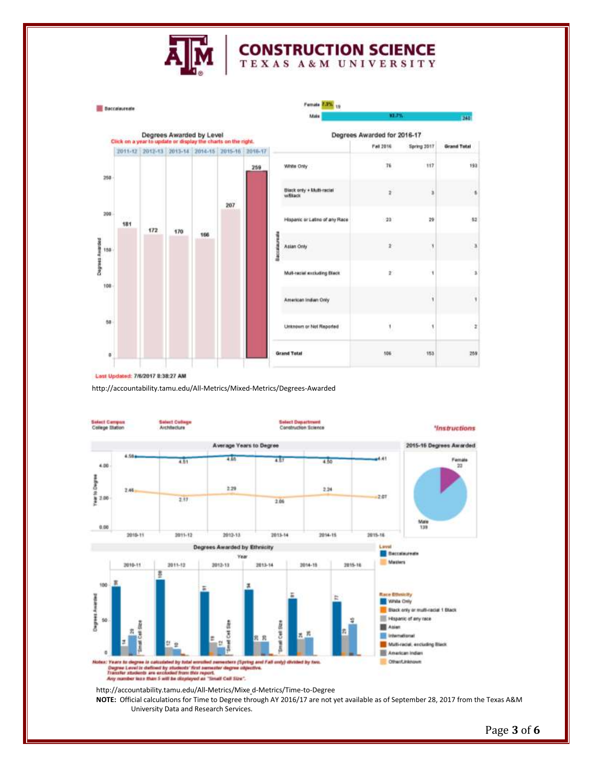

# **CONSTRUCTION SCIENCE**



Last Updated: 7/6/2017 8:38:27 AM

http://accountability.tamu.edu/All-Metrics/Mixed-Metrics/Degrees-Awarded



**NOTE:** Official calculations for Time to Degree through AY 2016/17 are not yet available as of September 28, 2017 from the Texas A&M University Data and Research Services.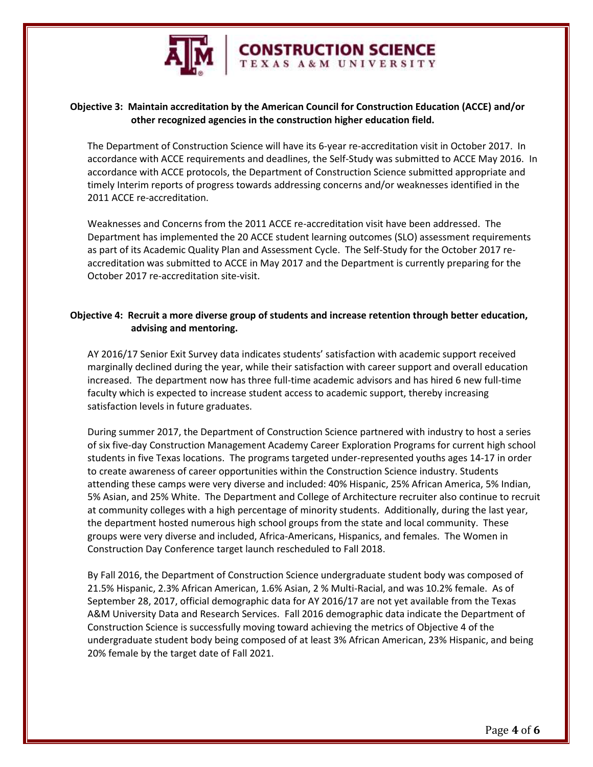

# **Objective 3: Maintain accreditation by the American Council for Construction Education (ACCE) and/or other recognized agencies in the construction higher education field.**

The Department of Construction Science will have its 6-year re-accreditation visit in October 2017. In accordance with ACCE requirements and deadlines, the Self-Study was submitted to ACCE May 2016. In accordance with ACCE protocols, the Department of Construction Science submitted appropriate and timely Interim reports of progress towards addressing concerns and/or weaknesses identified in the 2011 ACCE re-accreditation.

**CONSTRUCTION SCIENCE** 

Weaknesses and Concerns from the 2011 ACCE re-accreditation visit have been addressed. The Department has implemented the 20 ACCE student learning outcomes (SLO) assessment requirements as part of its Academic Quality Plan and Assessment Cycle. The Self-Study for the October 2017 reaccreditation was submitted to ACCE in May 2017 and the Department is currently preparing for the October 2017 re-accreditation site-visit.

#### **Objective 4: Recruit a more diverse group of students and increase retention through better education, advising and mentoring.**

AY 2016/17 Senior Exit Survey data indicates students' satisfaction with academic support received marginally declined during the year, while their satisfaction with career support and overall education increased. The department now has three full-time academic advisors and has hired 6 new full-time faculty which is expected to increase student access to academic support, thereby increasing satisfaction levels in future graduates.

During summer 2017, the Department of Construction Science partnered with industry to host a series of six five-day Construction Management Academy Career Exploration Programs for current high school students in five Texas locations. The programs targeted under-represented youths ages 14-17 in order to create awareness of career opportunities within the Construction Science industry. Students attending these camps were very diverse and included: 40% Hispanic, 25% African America, 5% Indian, 5% Asian, and 25% White. The Department and College of Architecture recruiter also continue to recruit at community colleges with a high percentage of minority students. Additionally, during the last year, the department hosted numerous high school groups from the state and local community. These groups were very diverse and included, Africa-Americans, Hispanics, and females. The Women in Construction Day Conference target launch rescheduled to Fall 2018.

By Fall 2016, the Department of Construction Science undergraduate student body was composed of 21.5% Hispanic, 2.3% African American, 1.6% Asian, 2 % Multi-Racial, and was 10.2% female. As of September 28, 2017, official demographic data for AY 2016/17 are not yet available from the Texas A&M University Data and Research Services. Fall 2016 demographic data indicate the Department of Construction Science is successfully moving toward achieving the metrics of Objective 4 of the undergraduate student body being composed of at least 3% African American, 23% Hispanic, and being 20% female by the target date of Fall 2021.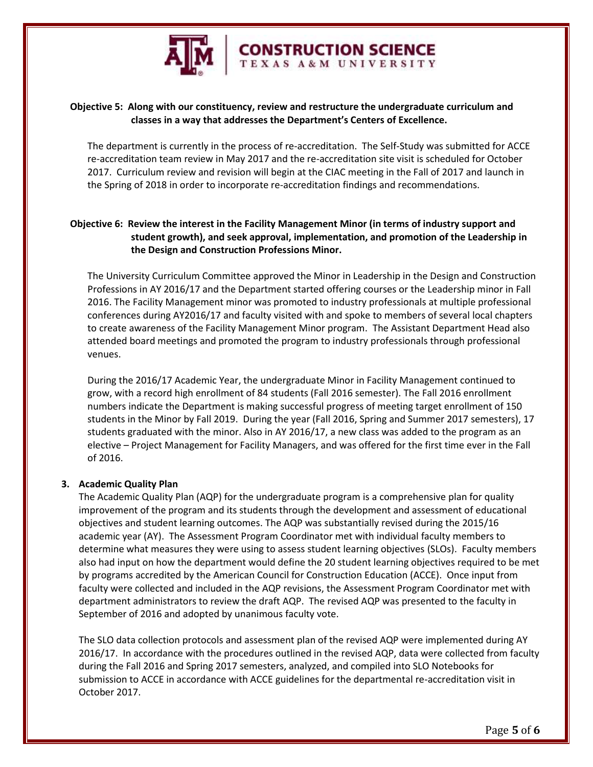

# **Objective 5: Along with our constituency, review and restructure the undergraduate curriculum and classes in a way that addresses the Department's Centers of Excellence.**

The department is currently in the process of re-accreditation. The Self-Study was submitted for ACCE re-accreditation team review in May 2017 and the re-accreditation site visit is scheduled for October 2017. Curriculum review and revision will begin at the CIAC meeting in the Fall of 2017 and launch in the Spring of 2018 in order to incorporate re-accreditation findings and recommendations.

**CONSTRUCTION SCIENCE** 

# **Objective 6: Review the interest in the Facility Management Minor (in terms of industry support and student growth), and seek approval, implementation, and promotion of the Leadership in the Design and Construction Professions Minor.**

The University Curriculum Committee approved the Minor in Leadership in the Design and Construction Professions in AY 2016/17 and the Department started offering courses or the Leadership minor in Fall 2016. The Facility Management minor was promoted to industry professionals at multiple professional conferences during AY2016/17 and faculty visited with and spoke to members of several local chapters to create awareness of the Facility Management Minor program. The Assistant Department Head also attended board meetings and promoted the program to industry professionals through professional venues.

During the 2016/17 Academic Year, the undergraduate Minor in Facility Management continued to grow, with a record high enrollment of 84 students (Fall 2016 semester). The Fall 2016 enrollment numbers indicate the Department is making successful progress of meeting target enrollment of 150 students in the Minor by Fall 2019. During the year (Fall 2016, Spring and Summer 2017 semesters), 17 students graduated with the minor. Also in AY 2016/17, a new class was added to the program as an elective – Project Management for Facility Managers, and was offered for the first time ever in the Fall of 2016.

#### **3. Academic Quality Plan**

The Academic Quality Plan (AQP) for the undergraduate program is a comprehensive plan for quality improvement of the program and its students through the development and assessment of educational objectives and student learning outcomes. The AQP was substantially revised during the 2015/16 academic year (AY). The Assessment Program Coordinator met with individual faculty members to determine what measures they were using to assess student learning objectives (SLOs). Faculty members also had input on how the department would define the 20 student learning objectives required to be met by programs accredited by the American Council for Construction Education (ACCE). Once input from faculty were collected and included in the AQP revisions, the Assessment Program Coordinator met with department administrators to review the draft AQP. The revised AQP was presented to the faculty in September of 2016 and adopted by unanimous faculty vote.

The SLO data collection protocols and assessment plan of the revised AQP were implemented during AY 2016/17. In accordance with the procedures outlined in the revised AQP, data were collected from faculty during the Fall 2016 and Spring 2017 semesters, analyzed, and compiled into SLO Notebooks for submission to ACCE in accordance with ACCE guidelines for the departmental re-accreditation visit in October 2017.